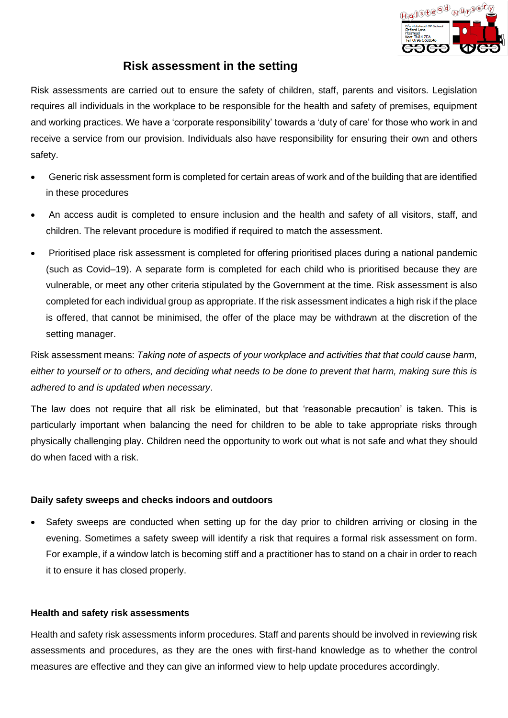

## **Risk assessment in the setting**

Risk assessments are carried out to ensure the safety of children, staff, parents and visitors. Legislation requires all individuals in the workplace to be responsible for the health and safety of premises, equipment and working practices. We have a 'corporate responsibility' towards a 'duty of care' for those who work in and receive a service from our provision. Individuals also have responsibility for ensuring their own and others safety.

- Generic risk assessment form is completed for certain areas of work and of the building that are identified in these procedures
- An access audit is completed to ensure inclusion and the health and safety of all visitors, staff, and children. The relevant procedure is modified if required to match the assessment.
- Prioritised place risk assessment is completed for offering prioritised places during a national pandemic (such as Covid–19). A separate form is completed for each child who is prioritised because they are vulnerable, or meet any other criteria stipulated by the Government at the time. Risk assessment is also completed for each individual group as appropriate. If the risk assessment indicates a high risk if the place is offered, that cannot be minimised, the offer of the place may be withdrawn at the discretion of the setting manager.

Risk assessment means: *Taking note of aspects of your workplace and activities that that could cause harm, either to yourself or to others, and deciding what needs to be done to prevent that harm, making sure this is adhered to and is updated when necessary*.

The law does not require that all risk be eliminated, but that 'reasonable precaution' is taken. This is particularly important when balancing the need for children to be able to take appropriate risks through physically challenging play. Children need the opportunity to work out what is not safe and what they should do when faced with a risk.

## **Daily safety sweeps and checks indoors and outdoors**

Safety sweeps are conducted when setting up for the day prior to children arriving or closing in the evening. Sometimes a safety sweep will identify a risk that requires a formal risk assessment on form. For example, if a window latch is becoming stiff and a practitioner has to stand on a chair in order to reach it to ensure it has closed properly.

## **Health and safety risk assessments**

Health and safety risk assessments inform procedures. Staff and parents should be involved in reviewing risk assessments and procedures, as they are the ones with first-hand knowledge as to whether the control measures are effective and they can give an informed view to help update procedures accordingly.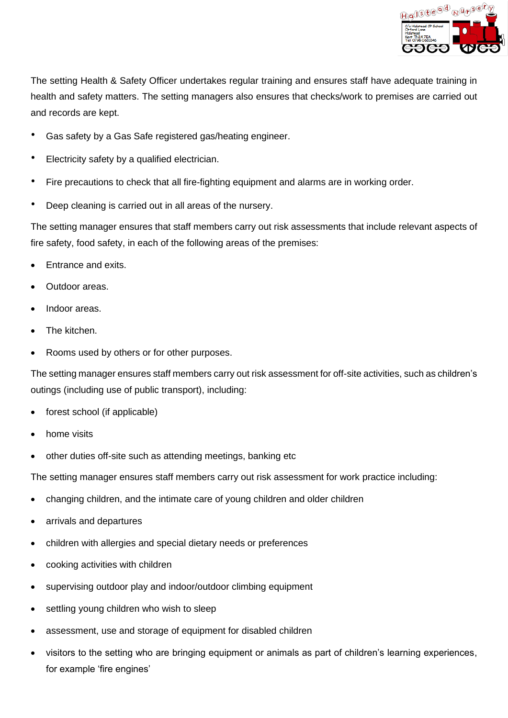

The setting Health & Safety Officer undertakes regular training and ensures staff have adequate training in health and safety matters. The setting managers also ensures that checks/work to premises are carried out and records are kept.

- Gas safety by a Gas Safe registered gas/heating engineer.
- Electricity safety by a qualified electrician.
- Fire precautions to check that all fire-fighting equipment and alarms are in working order.
- Deep cleaning is carried out in all areas of the nursery.

The setting manager ensures that staff members carry out risk assessments that include relevant aspects of fire safety, food safety, in each of the following areas of the premises:

- Entrance and exits.
- Outdoor areas.
- Indoor areas.
- The kitchen.
- Rooms used by others or for other purposes.

The setting manager ensures staff members carry out risk assessment for off-site activities, such as children's outings (including use of public transport), including:

- forest school (if applicable)
- home visits
- other duties off-site such as attending meetings, banking etc

The setting manager ensures staff members carry out risk assessment for work practice including:

- changing children, and the intimate care of young children and older children
- arrivals and departures
- children with allergies and special dietary needs or preferences
- cooking activities with children
- supervising outdoor play and indoor/outdoor climbing equipment
- settling young children who wish to sleep
- assessment, use and storage of equipment for disabled children
- visitors to the setting who are bringing equipment or animals as part of children's learning experiences, for example 'fire engines'